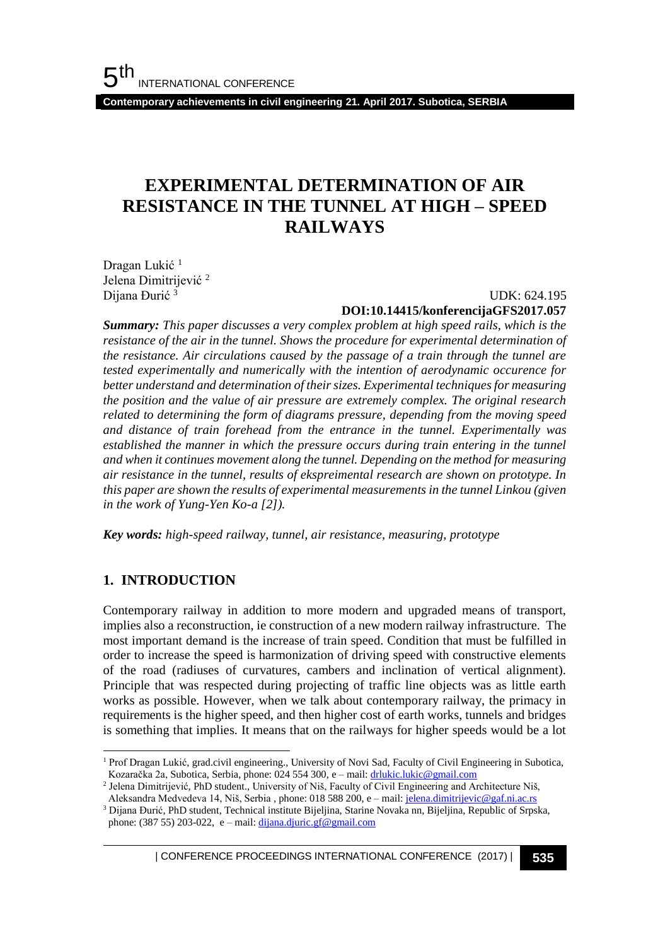**Contemporary achievements in civil engineering 21. April 2017. Subotica, SERBIA**

# **EXPERIMENTAL DETERMINATION OF AIR RESISTANCE IN THE TUNNEL AT HIGH – SPEED RAILWAYS**

Dragan Lukić<sup>1</sup> Jelena Dimitrijević <sup>2</sup> Dijana Đurić <sup>3</sup>

UDK: 624.195

#### **DOI:10.14415/konferencijaGFS2017.057**

*Summary: This paper discusses a very complex problem at high speed rails, which is the resistance of the air in the tunnel. Shows the procedure for experimental determination of the resistance. Air circulations caused by the passage of a train through the tunnel are tested experimentally and numerically with the intention of aerodynamic occurence for better understand and determination of their sizes. Experimental techniques for measuring the position and the value of air pressure are extremely complex. The original research related to determining the form of diagrams pressure, depending from the moving speed and distance of train forehead from the entrance in the tunnel. Experimentally was established the manner in which the pressure occurs during train entering in the tunnel and when it continues movement along the tunnel. Depending on the method for measuring air resistance in the tunnel, results of ekspreimental research are shown on prototype. In this paper are shown the results of experimental measurements in the tunnel Linkou (given in the work of Yung-Yen Ko-a [2]).*

*Key words: high-speed railway, tunnel, air resistance, measuring, prototype*

### **1. INTRODUCTION**

l

Contemporary railway in addition to more modern and upgraded means of transport, implies also a reconstruction, ie construction of a new modern railway infrastructure. The most important demand is the increase of train speed. Condition that must be fulfilled in order to increase the speed is harmonization of driving speed with constructive elements of the road (radiuses of curvatures, cambers and inclination of vertical alignment). Principle that was respected during projecting of traffic line objects was as little earth works as possible. However, when we talk about contemporary railway, the primacy in requirements is the higher speed, and then higher cost of earth works, tunnels and bridges is something that implies. It means that on the railways for higher speeds would be a lot

| CONFERENCE PROCEEDINGS INTERNATIONAL CONFERENCE (2017) <sup>|</sup>**535**

<sup>1</sup> Prof Dragan Lukić, grad.civil engineering., University of Novi Sad, Faculty of Civil Engineering in Subotica, Kozaračka 2а, Subotica, Serbia, phone: 024 554 300, e – mail[: drlukic.lukic@gmail.com](mailto:drlukic.lukic@gmail.com) 

<sup>2</sup> Јelena Dimitrijević, PhD student., University of Niš, Faculty of Civil Engineering and Architecture Niš, Aleksandra Medvedeva 14, Niš, Serbia, phone: 018 588 200, e – mail[: jelena.dimitrijevic@gaf.ni.ac.rs](mailto:jelena.dimitrijevic@gaf.ni.ac.rs)

<sup>3</sup> Dijana Đurić, PhD student, Technical institute Bijeljina, Starine Novaka nn, Bijeljina, Republic of Srpska, phone: (387 55) 203-022, e – mail:  $\frac{dijana.djuric.gf@gmail.com}{dijana.djuric.gf@gmail.com}$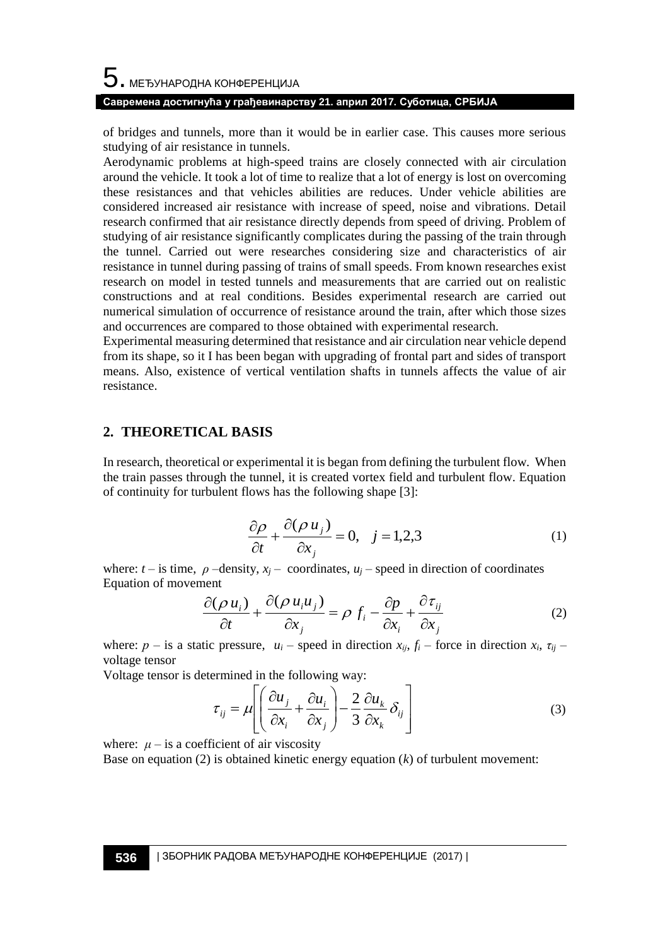of bridges and tunnels, more than it would be in earlier case. This causes more serious studying of air resistance in tunnels.

Aerodynamic problems at high-speed trains are closely connected with air circulation around the vehicle. It took a lot of time to realize that a lot of energy is lost on overcoming these resistances and that vehicles abilities are reduces. Under vehicle abilities are considered increased air resistance with increase of speed, noise and vibrations. Detail research confirmed that air resistance directly depends from speed of driving. Problem of studying of air resistance significantly complicates during the passing of the train through the tunnel. Carried out were researches considering size and characteristics of air resistance in tunnel during passing of trains of small speeds. From known researches exist research on model in tested tunnels and measurements that are carried out on realistic constructions and at real conditions. Besides experimental research are carried out numerical simulation of occurrence of resistance around the train, after which those sizes and occurrences are compared to those obtained with experimental research.

Experimental measuring determined that resistance and air circulation near vehicle depend from its shape, so it I has been began with upgrading of frontal part and sides of transport means. Also, existence of vertical ventilation shafts in tunnels affects the value of air resistance.

#### **2. THEORETICAL BASIS**

In research, theoretical or experimental it is began from defining the turbulent flow. When the train passes through the tunnel, it is created vortex field and turbulent flow. Equation of continuity for turbulent flows has the following shape [3]:

$$
\frac{\partial \rho}{\partial t} + \frac{\partial (\rho u_j)}{\partial x_j} = 0, \quad j = 1, 2, 3 \tag{1}
$$

where:  $t -$  is time,  $\rho$  –density,  $x_j$  – coordinates,  $u_j$  – speed in direction of coordinates Equation of movement

$$
\frac{\partial(\rho u_i)}{\partial t} + \frac{\partial(\rho u_i u_j)}{\partial x_j} = \rho f_i - \frac{\partial p}{\partial x_i} + \frac{\partial \tau_{ij}}{\partial x_j}
$$
(2)

where:  $p -$  is a static pressure,  $u_i$  – speed in direction  $x_i$ ,  $f_i$  – force in direction  $x_i$ ,  $\tau_{ii}$  – voltage tensor

Voltage tensor is determined in the following way:

$$
\tau_{ij} = \mu \left[ \left( \frac{\partial u_j}{\partial x_i} + \frac{\partial u_i}{\partial x_j} \right) - \frac{2}{3} \frac{\partial u_k}{\partial x_k} \delta_{ij} \right]
$$
(3)

where:  $\mu$  – is a coefficient of air viscosity

Base on equation (2) is obtained kinetic energy equation (*k*) of turbulent movement: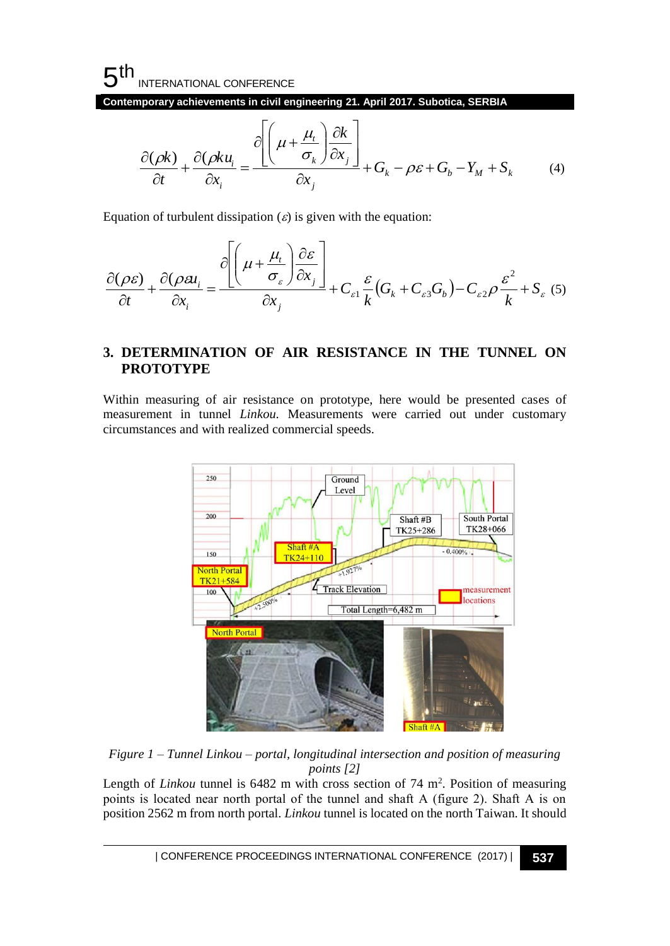# $5<sup>th</sup>$ INTERNATIONAL CONFERENCE

**Contemporary achievements in civil engineering 21. April 2017. Subotica, SERBIA**

$$
\frac{\partial(\rho k)}{\partial t} + \frac{\partial(\rho k u_i}{\partial x_i} = \frac{\partial \left[ \left( \mu + \frac{\mu_i}{\sigma_k} \right) \frac{\partial k}{\partial x_j} \right]}{\partial x_j} + G_k - \rho \varepsilon + G_b - Y_M + S_k \tag{4}
$$

Equation of turbulent dissipation  $(\varepsilon)$  is given with the equation:

$$
\frac{\partial(\rho \varepsilon)}{\partial t} + \frac{\partial(\rho \varepsilon)}{\partial x_i} = \frac{\partial \left[ \left( \mu + \frac{\mu_t}{\sigma_{\varepsilon}} \right) \frac{\partial \varepsilon}{\partial x_j} \right]}{\partial x_j} + C_{\varepsilon 1} \frac{\varepsilon}{k} \left( G_k + C_{\varepsilon 3} G_b \right) - C_{\varepsilon 2} \rho \frac{\varepsilon^2}{k} + S_{\varepsilon} \tag{5}
$$

### **3. DETERMINATION OF AIR RESISTANCE IN THE TUNNEL ON PROTOTYPE**

Within measuring of air resistance on prototype, here would be presented cases of measurement in tunnel *Linkou.* Measurements were carried out under customary circumstances and with realized commercial speeds.



*Figure 1 – Tunnel Linkou – portal, longitudinal intersection and position of measuring points [2]*

Length of *Linkou* tunnel is  $6482$  m with cross section of  $74 \text{ m}^2$ . Position of measuring points is located near north portal of the tunnel and shaft А (figure 2). Shaft А is on position 2562 m from north portal. *Linkou* tunnel is located on the north Taiwan. It should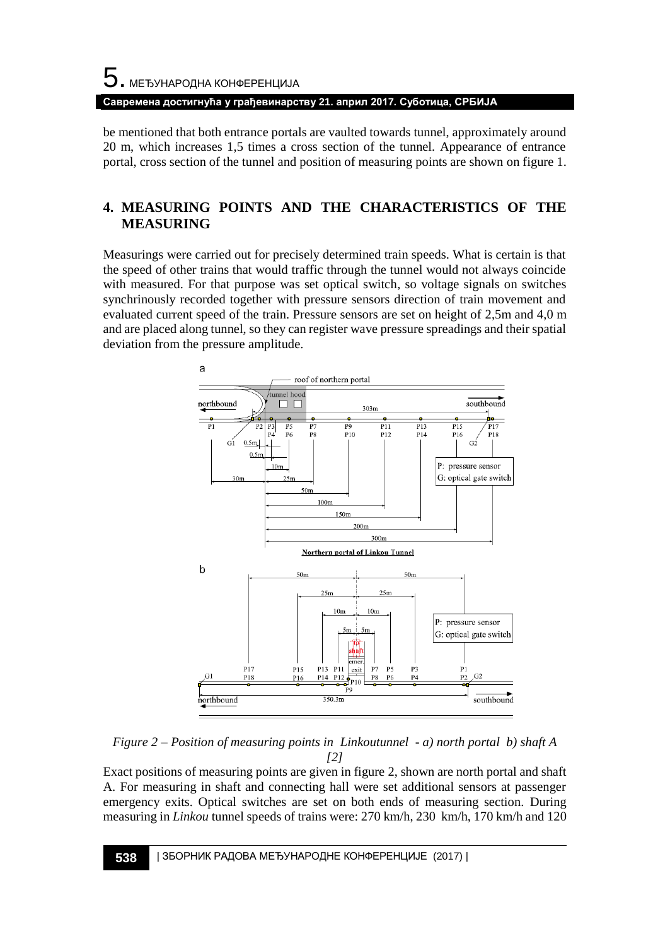# 5. МЕЂУНАРОДНА КОНФЕРЕНЦИЈА **Савремена достигнућа у грађевинарству 21. април 2017. Суботица, СРБИЈА**

be mentioned that both entrance portals are vaulted towards tunnel, approximately around 20 m, which increases 1,5 times a cross section of the tunnel. Appearance of entrance portal, cross section of the tunnel and position of measuring points are shown on figure 1.

# **4. MEASURING POINTS AND THE CHARACTERISTICS OF THE MEASURING**

Measurings were carried out for precisely determined train speeds. What is certain is that the speed of other trains that would traffic through the tunnel would not always coincide with measured. For that purpose was set optical switch, so voltage signals on switches synchrinously recorded together with pressure sensors direction of train movement and evaluated current speed of the train. Pressure sensors are set on height of 2,5m and 4,0 m and are placed along tunnel, so they can register wave pressure spreadings and their spatial deviation from the pressure amplitude.



*Figure 2 – Position of measuring points in Linkoutunnel - a) north portal b) shaft A [2]*

Exact positions of measuring points are given in figure 2, shown are north portal and shaft A. For measuring in shaft and connecting hall were set additional sensors at passenger emergency exits. Optical switches are set on both ends of measuring section. During measuring in *Linkou* tunnel speeds of trains were: 270 km/h, 230 km/h, 170 km/h and 120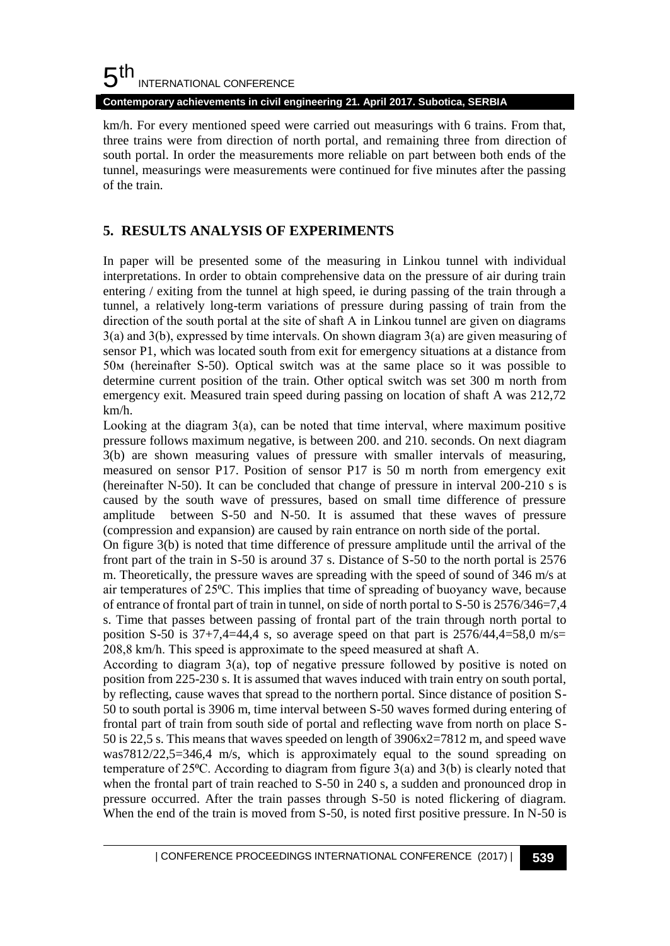#### 5 th INTERNATIONAL CONFERENCE

**Contemporary achievements in civil engineering 21. April 2017. Subotica, SERBIA**

km/h. For every mentioned speed were carried out measurings with 6 trains. From that, three trains were from direction of north portal, and remaining three from direction of south portal. In order the measurements more reliable on part between both ends of the tunnel, measurings were measurements were continued for five minutes after the passing of the train.

# **5. RESULTS ANALYSIS OF EXPERIMENTS**

In paper will be presented some of the measuring in Linkou tunnel with individual interpretations. In order to obtain comprehensive data on the pressure of air during train entering / exiting from the tunnel at high speed, ie during passing of the train through a tunnel, a relatively long-term variations of pressure during passing of train from the direction of the south portal at the site of shaft А in Linkou tunnel are given on diagrams 3(а) and 3(b), expressed by time intervals. On shown diagram 3(а) are given measuring of sensor P1, which was located south from exit for emergency situations at a distance from 50м (hereinafter S-50). Optical switch was at the same place so it was possible to determine current position of the train. Other optical switch was set 300 m north from emergency exit. Measured train speed during passing on location of shaft A was 212,72 km/h.

Looking at the diagram 3(а), can be noted that time interval, where maximum positive pressure follows maximum negative, is between 200. and 210. seconds. On next diagram 3(b) are shown measuring values of pressure with smaller intervals of measuring, measured on sensor P17. Position of sensor P17 is 50 m north from emergency exit (hereinafter N-50). It can be concluded that change of pressure in interval 200-210 s is caused by the south wave of pressures, based on small time difference of pressure amplitude between S-50 and N-50. It is assumed that these waves of pressure (compression and expansion) are caused by rain entrance on north side of the portal.

On figure 3(b) is noted that time difference of pressure amplitude until the arrival of the front part of the train in S-50 is around 37 s. Distance of S-50 to the north portal is 2576 m. Theoretically, the pressure waves are spreading with the speed of sound of 346 m/s at air temperatures of 25<sup>o</sup>C. This implies that time of spreading of buoyancy wave, because of entrance of frontal part of train in tunnel, on side of north portal to S-50 is 2576/346=7,4 s. Time that passes between passing of frontal part of the train through north portal to position S-50 is  $37+7,4=44,4$  s, so average speed on that part is  $2576/44,4=58,0$  m/s= 208,8 km/h. This speed is approximate to the speed measured at shaft А.

According to diagram 3(а), top of negative pressure followed by positive is noted on position from 225-230 s. It is assumed that waves induced with train entry on south portal, by reflecting, cause waves that spread to the northern portal. Since distance of position S-50 to south portal is 3906 m, time interval between S-50 waves formed during entering of frontal part of train from south side of portal and reflecting wave from north on place S-50 is 22,5 s. This means that waves speeded on length of 3906x2=7812 m, and speed wave was7812/22,5=346,4 m/s, which is approximately equal to the sound spreading on temperature of 25 $\degree$ C. According to diagram from figure 3(a) and 3(b) is clearly noted that when the frontal part of train reached to S-50 in 240 s, a sudden and pronounced drop in pressure occurred. After the train passes through S-50 is noted flickering of diagram. When the end of the train is moved from S-50, is noted first positive pressure. In N-50 is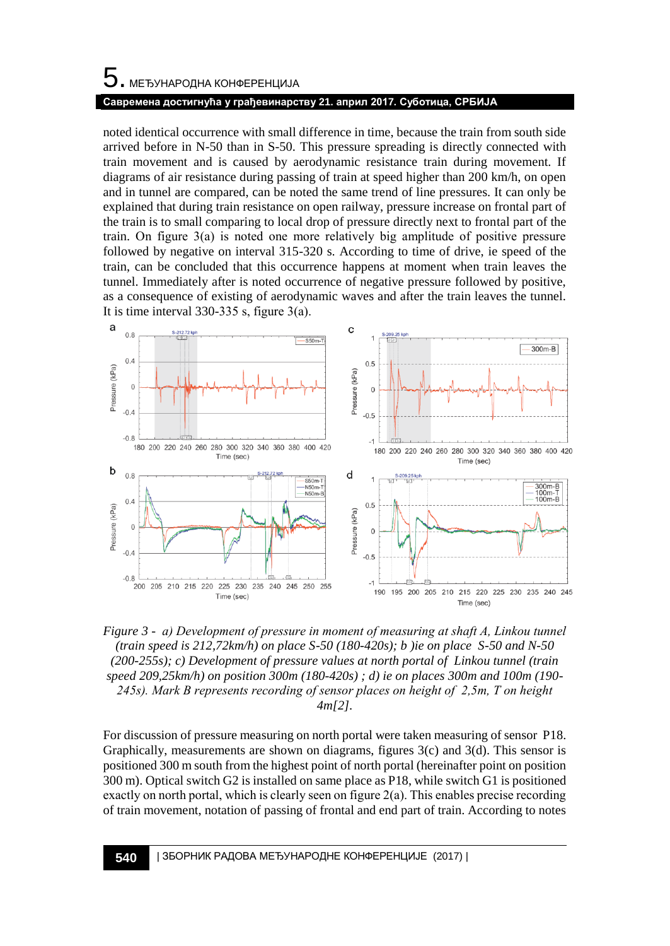# 5. МЕЂУНАРОДНА КОНФЕРЕНЦИЈА **Савремена достигнућа у грађевинарству 21. април 2017. Суботица, СРБИЈА**

noted identical occurrence with small difference in time, because the train from south side arrived before in N-50 than in S-50. This pressure spreading is directly connected with train movement and is caused by aerodynamic resistance train during movement. If diagrams of air resistance during passing of train at speed higher than 200 km/h, on open and in tunnel are compared, can be noted the same trend of line pressures. It can only be explained that during train resistance on open railway, pressure increase on frontal part of the train is to small comparing to local drop of pressure directly next to frontal part of the train. On figure 3(а) is noted one more relatively big amplitude of positive pressure followed by negative on interval 315-320 s. According to time of drive, ie speed of the train, can be concluded that this occurrence happens at moment when train leaves the tunnel. Immediately after is noted occurrence of negative pressure followed by positive, as a consequence of existing of aerodynamic waves and after the train leaves the tunnel. It is time interval  $330-335$  s, figure  $3(a)$ .



*Figure 3 - a) Development of pressure in moment of measuring at shaft A, Linkou tunnel (train speed is 212,72km/h) on place S-50 (180-420s); b )ie on place S-50 and N-50 (200-255s); c) Development of pressure values at north portal of Linkou tunnel (train speed 209,25km/h) on position 300m (180-420s) ; d) ie on places 300m and 100m (190- 245s). Mark B represents recording of sensor places on height of 2,5m, Т on height 4m[2].*

For discussion of pressure measuring on north portal were taken measuring of sensor P18. Graphically, measurements are shown on diagrams, figures 3(c) and 3(d). This sensor is positioned 300 m south from the highest point of north portal (hereinafter point on position 300 m). Optical switch G2 is installed on same place as P18, while switch G1 is positioned exactly on north portal, which is clearly seen on figure 2(а). This enables precise recording of train movement, notation of passing of frontal and end part of train. According to notes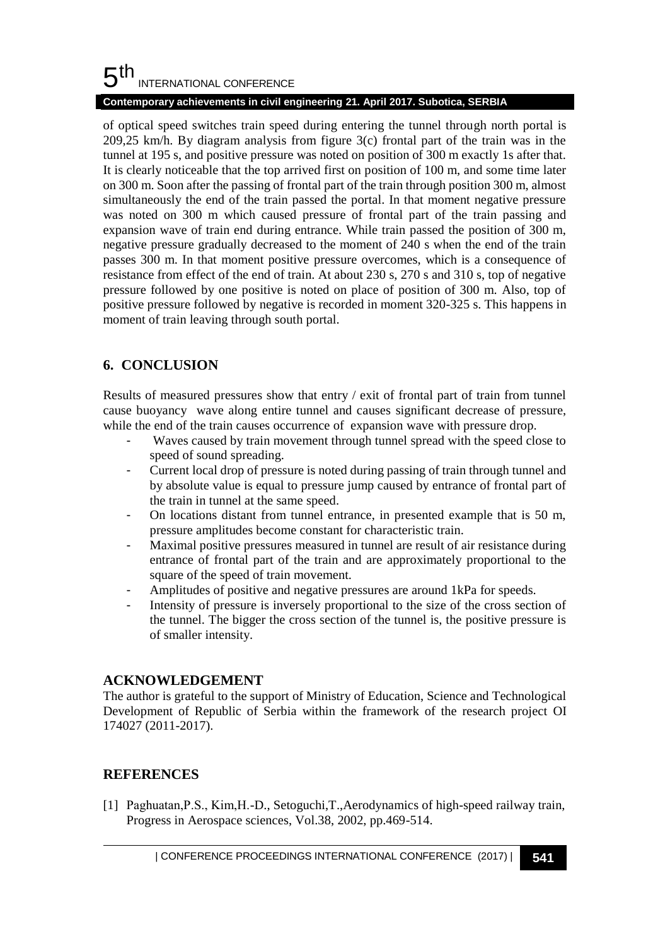#### 5 th INTERNATIONAL CONFERENCE

#### **Contemporary achievements in civil engineering 21. April 2017. Subotica, SERBIA**

of optical speed switches train speed during entering the tunnel through north portal is 209,25 km/h. By diagram analysis from figure 3(c) frontal part of the train was in the tunnel at 195 s, and positive pressure was noted on position of 300 m exactly 1s after that. It is clearly noticeable that the top arrived first on position of 100 m, and some time later on 300 m. Soon after the passing of frontal part of the train through position 300 m, almost simultaneously the end of the train passed the portal. In that moment negative pressure was noted on 300 m which caused pressure of frontal part of the train passing and expansion wave of train end during entrance. While train passed the position of 300 m, negative pressure gradually decreased to the moment of 240 s when the end of the train passes 300 m. In that moment positive pressure overcomes, which is a consequence of resistance from effect of the end of train. At about 230 s, 270 s and 310 s, top of negative pressure followed by one positive is noted on place of position of 300 m. Also, top of positive pressure followed by negative is recorded in moment 320-325 s. This happens in moment of train leaving through south portal.

# **6. CONCLUSION**

Results of measured pressures show that entry  $/$  exit of frontal part of train from tunnel cause buoyancy wave along entire tunnel and causes significant decrease of pressure, while the end of the train causes occurrence of expansion wave with pressure drop.

- Waves caused by train movement through tunnel spread with the speed close to speed of sound spreading.
- Current local drop of pressure is noted during passing of train through tunnel and by absolute value is equal to pressure jump caused by entrance of frontal part of the train in tunnel at the same speed.
- On locations distant from tunnel entrance, in presented example that is 50 m, pressure amplitudes become constant for characteristic train.
- Maximal positive pressures measured in tunnel are result of air resistance during entrance of frontal part of the train and are approximately proportional to the square of the speed of train movement.
- Amplitudes of positive and negative pressures are around 1kPa for speeds.
- Intensity of pressure is inversely proportional to the size of the cross section of the tunnel. The bigger the cross section of the tunnel is, the positive pressure is of smaller intensity.

### **ACKNOWLEDGEMENT**

The author is grateful to the support of Ministry of Education, Science and Technological Development of Republic of Serbia within the framework of the research project OI 174027 (2011-2017).

### **REFERENCES**

[1] Рaghuatan,Р.S., Kim,H.-D., Setoguchi,T.,Aerodynamics of high-speed railway train, Progress in Aerospace sciences, Vol.38, 2002, pp.469-514.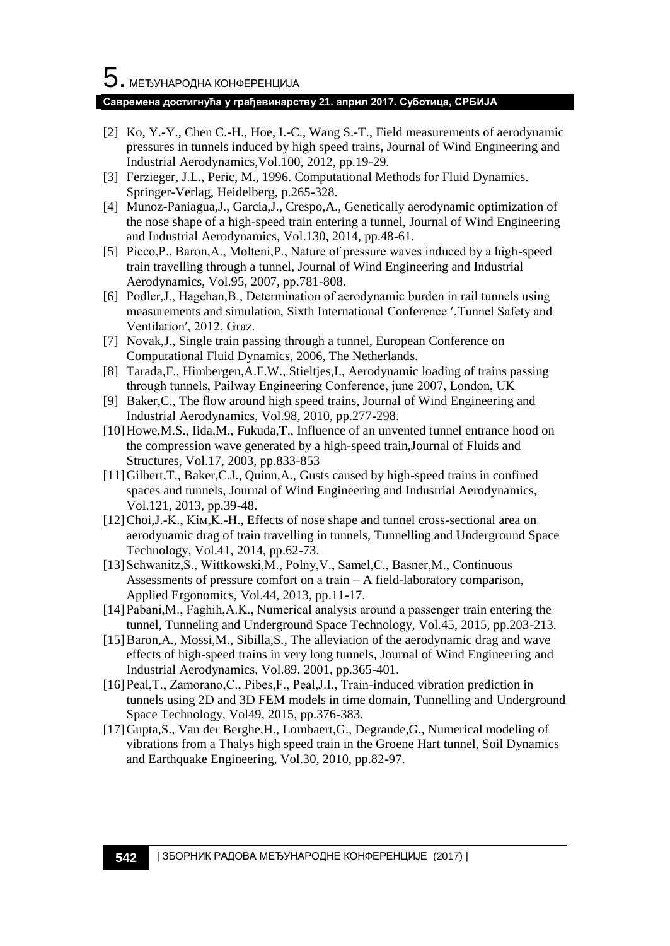#### **Савремена достигнућа у грађевинарству 21. април 2017. Суботица, СРБИЈА**

- [2] Ko, Y.-Y., Chen C.-H., Hoe, I.-C., Wang S.-T., Field measurements of aerodynamic pressures in tunnels induced by high speed trains, Journal of Wind Engineering and Industrial Aerodynamics,Vol.100, 2012, pp.19-29.
- [3] Ferzieger, J.L., Peric, M., 1996. Computational Methods for Fluid Dynamics. Springer-Verlag, Heidelberg, p.265-328.
- [4] Munoz-Paniagua,J., Garcia,J., Crespo,A., Genetically aerodynamic optimization of the nose shape of a high-speed train entering a tunnel, Journal of Wind Engineering and Industrial Aerodynamics, Vol.130, 2014, pp.48-61.
- [5] Picco, P., Baron, A., Molteni, P., Nature of pressure waves induced by a high-speed train travelling through a tunnel, Journal of Wind Engineering and Industrial Aerodynamics, Vol.95, 2007, pp.781-808.
- [6] Podler, J., Hagehan, B., Determination of aerodynamic burden in rail tunnels using measurements and simulation, Sixth International Conference ′'Tunnel Safety and Ventilation′, 2012, Graz.
- [7] Novak,J., Single train passing through a tunnel, European Conference on Computational Fluid Dynamics, 2006, The Netherlands.
- [8] Tarada,F., Himbergen,A.F.W., Stieltjes,I., Aerodynamic loading of trains passing through tunnels, Рailway Engineering Conference, june 2007, London, UK
- [9] Baker,C., The flow around high speed trains, Journal of Wind Engineering and Industrial Aerodynamics, Vol.98, 2010, pp.277-298.
- [10]Howe,M.S., Iida,M., Fukuda,T., Influence of an unvented tunnel entrance hood on the compression wave generated by a high-speed train,Journal of Fluids and Structures, Vol.17, 2003, pp.833-853
- [11]Gilbert,T., Baker,C.J., Quinn,A., Gusts caused by high-speed trains in confined spaces and tunnels, Journal of Wind Engineering and Industrial Aerodynamics, Vol.121, 2013, pp.39-48.
- [12]Choi, J.-K., Kim, K.-H., Effects of nose shape and tunnel cross-sectional area on aerodynamic drag of train travelling in tunnels, Tunnelling and Underground Space Technology, Vol.41, 2014, pp.62-73.
- [13] Schwanitz, S., Wittkowski, M., Polny, V., Samel, C., Basner, M., Continuous Assessments of pressure comfort on a train  $-A$  field-laboratory comparison, Applied Ergonomics, Vol.44, 2013, pp.11-17.
- [14]Рabani,M., Faghih,A.K., Numerical analysis around a passenger train entering the tunnel, Tunneling and Underground Space Technology, Vol.45, 2015, pp.203-213.
- [15] Baron, A., Mossi, M., Sibilla, S., The alleviation of the aerodynamic drag and wave effects of high-speed trains in very long tunnels, Journal of Wind Engineering and Industrial Aerodynamics, Vol.89, 2001, pp.365-401.
- [16]Рeal,T., Zamorano,C., Рibes,F., Рeal,J.I., Train-induced vibration prediction in tunnels using 2D and 3D FEM models in time domain, Tunnelling and Underground Space Technology, Vol49, 2015, pp.376-383.
- [17]Gupta,S., Van der Berghe,H., Lombaert,G., Degrande,G., Numerical modeling of vibrations from a Thalys high speed train in the Groene Hart tunnel, Soil Dynamics and Earthquake Engineering, Vol.30, 2010, pp.82-97.